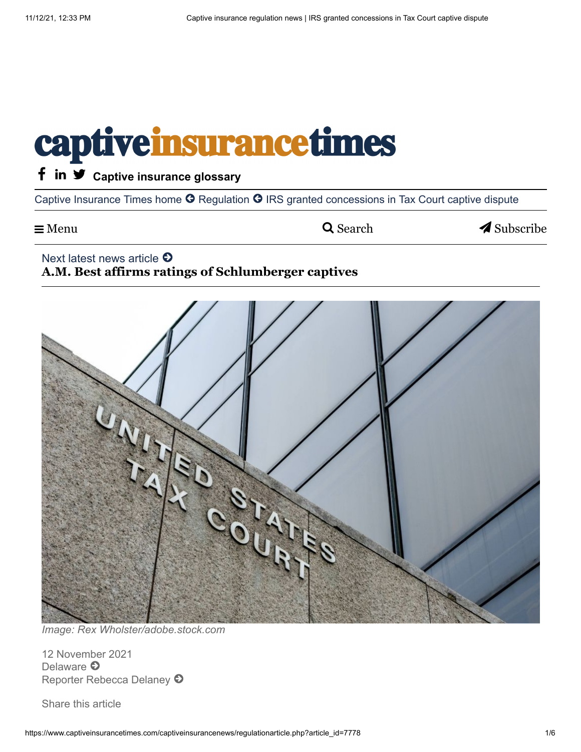# captive insurance times

### f in  $\blacktriangledown$  [Captive insurance glossary](https://www.captiveinsurancetimes.com/glossary.php?navigationaction=glossaryall&newssection=glossary)

[Captive Insurance Times home](https://www.captiveinsurancetimes.com/index.php?homeoverlay=none) <sup>O</sup> [Regulation](https://www.captiveinsurancetimes.com/captiveinsurancenews/regulationnews.php?&navigationaction=regulationnews&page=&newssection=) <sup>O</sup> IRS granted concessions in Tax Court captive dispute

 $\equiv$  Menu  $\sim$  Search  $\sim$  [Subscribe](javascript:void(0);)

#### Next latest news article  $\bullet$

### **[A.M. Best affirms ratings of Schlumberger captives](https://captiveinsurancetimes.com/captiveinsurancenews/article.php?article_id=7777&page=&newssection=ratings)**



*Image: Rex Wholster/adobe.stock.com*

12 November 2021 [Delaware](https://captiveinsurancetimes.com/captiveinsurancenews/reporternews.php?navigationaction=location&location=Delaware)  $\Theta$ [Reporter Rebecca Delaney](https://captiveinsurancetimes.com/captiveinsurancenews/reporternews.php?navigationaction=reporter&reporter=Rebecca%20Delaney)  $\odot$ 

Share this article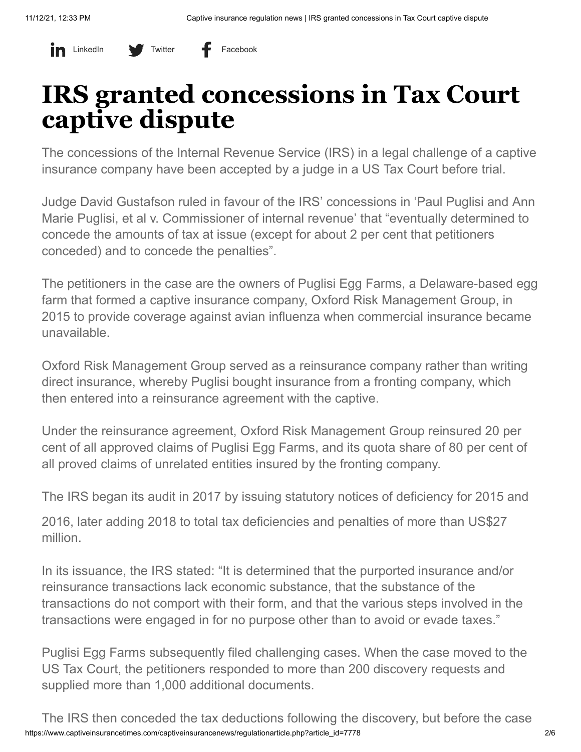#### in LinkedIn V Twitter + Facebook

## **IRS granted concessions in Tax Court captive dispute**

The concessions of the Internal Revenue Service (IRS) in a legal challenge of a captive insurance company have been accepted by a judge in a US Tax Court before trial.

Judge David Gustafson ruled in favour of the IRS' concessions in 'Paul Puglisi and Ann Marie Puglisi, et al v. Commissioner of internal revenue' that "eventually determined to concede the amounts of tax at issue (except for about 2 per cent that petitioners conceded) and to concede the penalties".

The petitioners in the case are the owners of Puglisi Egg Farms, a Delaware-based egg farm that formed a captive insurance company, Oxford Risk Management Group, in 2015 to provide coverage against avian influenza when commercial insurance became unavailable.

Oxford Risk Management Group served as a reinsurance company rather than writing direct insurance, whereby Puglisi bought insurance from a fronting company, which then entered into a reinsurance agreement with the captive.

Under the reinsurance agreement, Oxford Risk Management Group reinsured 20 per cent of all approved claims of Puglisi Egg Farms, and its quota share of 80 per cent of all proved claims of unrelated entities insured by the fronting company.

The IRS began its audit in 2017 by issuing statutory notices of deficiency for 2015 and

2016, later adding 2018 to total tax deficiencies and penalties of more than US\$27 million.

In its issuance, the IRS stated: "It is determined that the purported insurance and/or reinsurance transactions lack economic substance, that the substance of the transactions do not comport with their form, and that the various steps involved in the transactions were engaged in for no purpose other than to avoid or evade taxes."

Puglisi Egg Farms subsequently filed challenging cases. When the case moved to the US Tax Court, the petitioners responded to more than 200 discovery requests and supplied more than 1,000 additional documents.